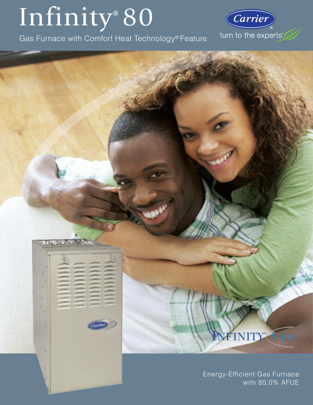# Infinity®80

Gas Furnace with Comfort Heat Technology® Feature

arrie



œ

# **NFINITY**<sup></sup> *SERIES*

Energy-Efficient Gas Furnace with 80.0% AFUE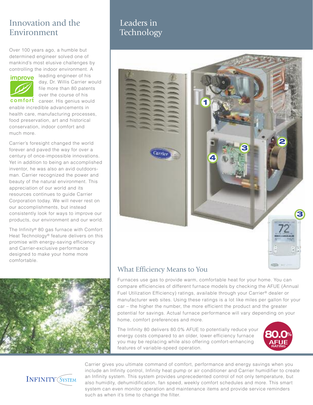# Innovation and the Environment

Over 100 years ago, a humble but determined engineer solved one of mankind's most elusive challenges by controlling the indoor environment. A



leading engineer of his day, Dr. Willis Carrier would file more than 80 patents over the course of his

comfort career. His genius would enable incredible advancements in health care, manufacturing processes, food preservation, art and historical conservation, indoor comfort and much more.

Carrier's foresight changed the world forever and paved the way for over a century of once-impossible innovations. Yet in addition to being an accomplished inventor, he was also an avid outdoorsman. Carrier recognized the power and beauty of the natural environment. This appreciation of our world and its resources continues to guide Carrier Corporation today. We will never rest on our accomplishments, but instead consistently look for ways to improve our products, our environment and our world.

The Infinity® 80 gas furnace with Comfort Heat Technology® feature delivers on this promise with energy-saving efficiency and Carrier-exclusive performance designed to make your home more comfortable.



# Leaders in **Technology**



# What Efficiency Means to You

Furnaces use gas to provide warm, comfortable heat for your home. You can compare efficiencies of different furnace models by checking the AFUE (Annual Fuel Utilization Efficiency) ratings, available through your Carrier® dealer or manufacturer web sites. Using these ratings is a lot like miles per gallon for your car – the higher the number, the more efficient the product and the greater potential for savings. Actual furnace performance will vary depending on your home, comfort preferences and more.

The Infinity 80 delivers 80.0% AFUE to potentially reduce your energy costs compared to an older, lower efficiency furnace you may be replacing while also offering comfort-enhancing features of variable-speed operation.





Carrier gives you ultimate command of comfort, performance and energy savings when you include an Infinity control, Infinity heat pump or air conditioner and Carrier humidifier to create an Infinity system. This system provides unprecedented control of not only temperature, but also humidity, dehumidification, fan speed, weekly comfort schedules and more. This smart system can even monitor operation and maintenance items and provide service reminders such as when it's time to change the filter.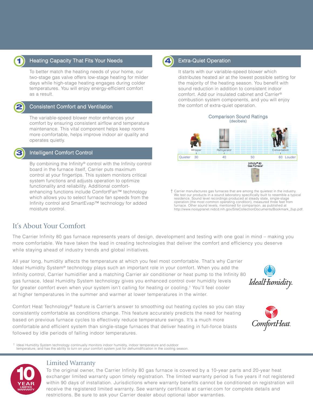

## **1** Heating Capacity That Fits Your Needs **19 (4)** Extra-Quiet Operation

To better match the heating needs of your home, our two-stage gas valve offers low-stage heating for milder days while high-stage heating engages during colder temperatures. You will enjoy energy-efficient comfort as a result.



**3**

### Consistent Comfort and Ventilation

The variable-speed blower motor enhances your comfort by ensuring consistent airflow and temperature maintenance. This vital component helps keep rooms more comfortable, helps improve indoor air quality and operates quietly.

### Intelligent Comfort Control

By combining the Infinity® control with the Infinity control board in the furnace itself, Carrier puts maximum control at your fingertips. This system monitors critical system functions and adjusts operation to optimize functionality and reliability. Additional comfortenhancing functions include ComfortFan™ technology which allows you to select furnace fan speeds from the Infinity control and SmartEvap™ technology for added moisture control.



It starts with our variable-speed blower which distributes heated air at the lowest possible setting for the majority of the heating season. You benefit with sound reduction in addition to consistent indoor comfort. Add our insulated cabinet and Carrier® combustion system components, and you will enjoy the comfort of extra-quiet operation.



† Carrier manufactures gas furnaces that are among the quietest in the industry. We test our products in a sound laboratory specifically built to resemble a typical residence. Sound level recordings produced at steady state, single-stage operation (the most common operating condition), measured three feet from furnace. Other sound levels, mentioned for comparison, as published at http://www.noisyplanet.nidcd.nih.gov/SiteCollectionDocuments/Bookmark\_2up.pdf.

# It's About Your Comfort

The Carrier Infinity 80 gas furnace represents years of design, development and testing with one goal in mind – making you more comfortable. We have taken the lead in creating technologies that deliver the comfort and efficiency you deserve while staying ahead of industry trends and global initiatives.

All year long, humidity affects the temperature at which you feel most comfortable. That's why Carrier Ideal Humidity System® technology plays such an important role in your comfort. When you add the Infinity control, Carrier humidifier and a matching Carrier air conditioner or heat pump to the Infinity 80 gas furnace, Ideal Humidity System technology gives you enhanced control over humidity levels for greater comfort even when your system isn't calling for heating or cooling.† You'll feel cooler at higher temperatures in the summer and warmer at lower temperatures in the winter.

Comfort Heat Technology® feature is Carrier's answer to smoothing out heating cycles so you can stay consistently comfortable as conditions change. This feature accurately predicts the need for heating based on previous furnace cycles to effectively reduce temperature swings. It's a much more comfortable and efficient system than single-stage furnaces that deliver heating in full-force blasts followed by idle periods of falling indoor temperatures.

IdealHumidity



† Ideal Humidity System technology continually monitors indoor humidity, indoor temperature and outdoor temperature, and has the ability to turn on your comfort system just for dehumidification in the cooling season.



### Limited Warranty

To the original owner, the Carrier Infinity 80 gas furnace is covered by a 10-year parts and 20-year heat exchanger limited warranty upon timely registration. The limited warranty period is five years if not registered within 90 days of installation. Jurisdictions where warranty benefits cannot be conditioned on registration will receive the registered limited warranty. See warranty certificate at carrier.com for complete details and restrictions. Be sure to ask your Carrier dealer about optional labor warranties.